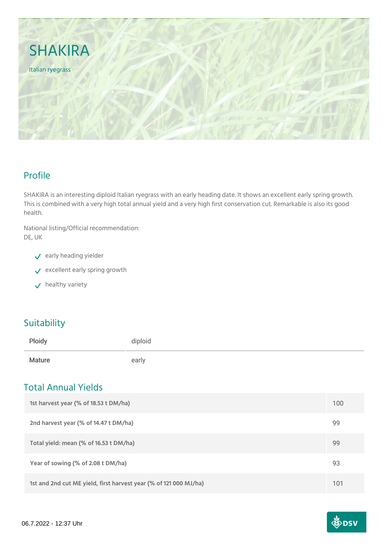

## Profile

SHAKIRA is an interesting diploid Italian ryegrass with an early heading date. It shows an excellent early spring growth. This is combined with a very high total annual yield and a very high first conservation cut. Remarkable is also its good health.

National listing/Official recommendation: DE, UK

- $\checkmark$  early heading yielder
- $\vee$  excellent early spring growth
- $\checkmark$  healthy variety

### **Suitability**

| Ploidy | diploid |
|--------|---------|
| Mature | early   |

## Total Annual Yields

| 1st harvest year (% of 18.53 t DM/ha)                             | 100 |
|-------------------------------------------------------------------|-----|
| 2nd harvest year (% of 14.47 t DM/ha)                             | 99  |
| Total yield: mean (% of 16.53 t DM/ha)                            | 99  |
| Year of sowing (% of 2.08 t DM/ha)                                | 93  |
| 1st and 2nd cut ME yield, first harvest year (% of 121 000 MJ/ha) | 101 |